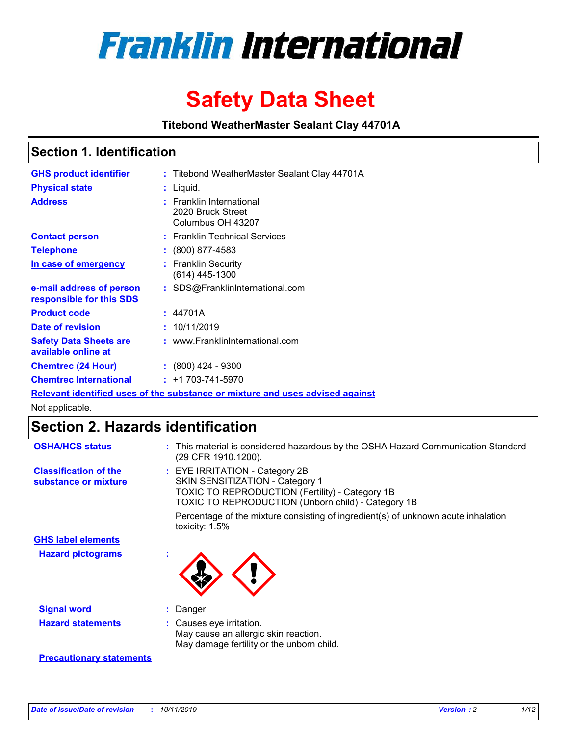

# **Safety Data Sheet**

**Titebond WeatherMaster Sealant Clay 44701A**

### **Section 1. Identification**

| <b>GHS product identifier</b>                        | : Titebond WeatherMaster Sealant Clay 44701A                                  |
|------------------------------------------------------|-------------------------------------------------------------------------------|
| <b>Physical state</b>                                | : Liquid.                                                                     |
| <b>Address</b>                                       | : Franklin International<br>2020 Bruck Street<br>Columbus OH 43207            |
| <b>Contact person</b>                                | : Franklin Technical Services                                                 |
| <b>Telephone</b>                                     | $\colon$ (800) 877-4583                                                       |
| In case of emergency                                 | : Franklin Security<br>(614) 445-1300                                         |
| e-mail address of person<br>responsible for this SDS | : SDS@FranklinInternational.com                                               |
| <b>Product code</b>                                  | : 44701A                                                                      |
| Date of revision                                     | : 10/11/2019                                                                  |
| <b>Safety Data Sheets are</b><br>available online at | : www.FranklinInternational.com                                               |
| <b>Chemtrec (24 Hour)</b>                            | $: (800)$ 424 - 9300                                                          |
| <b>Chemtrec International</b>                        | $: +1703 - 741 - 5970$                                                        |
|                                                      | Relevant identified uses of the substance or mixture and uses advised against |

Not applicable.

## **Section 2. Hazards identification**

| <b>OSHA/HCS status</b>                               | : This material is considered hazardous by the OSHA Hazard Communication Standard<br>(29 CFR 1910.1200).                                                                                 |
|------------------------------------------------------|------------------------------------------------------------------------------------------------------------------------------------------------------------------------------------------|
| <b>Classification of the</b><br>substance or mixture | : EYE IRRITATION - Category 2B<br>SKIN SENSITIZATION - Category 1<br><b>TOXIC TO REPRODUCTION (Fertility) - Category 1B</b><br><b>TOXIC TO REPRODUCTION (Unborn child) - Category 1B</b> |
|                                                      | Percentage of the mixture consisting of ingredient(s) of unknown acute inhalation<br>toxicity: $1.5\%$                                                                                   |
| <b>GHS label elements</b>                            |                                                                                                                                                                                          |
| <b>Hazard pictograms</b>                             |                                                                                                                                                                                          |
| <b>Signal word</b>                                   | : Danger                                                                                                                                                                                 |
| <b>Hazard statements</b>                             | : Causes eye irritation.<br>May cause an allergic skin reaction.<br>May damage fertility or the unborn child.                                                                            |
| <b>Precautionary statements</b>                      |                                                                                                                                                                                          |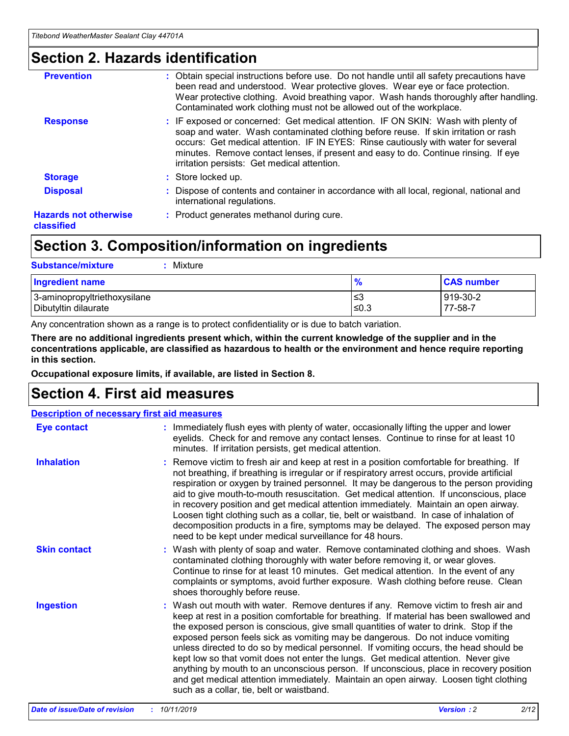### **Section 2. Hazards identification**

| <b>Prevention</b>                          | : Obtain special instructions before use. Do not handle until all safety precautions have<br>been read and understood. Wear protective gloves. Wear eye or face protection.<br>Wear protective clothing. Avoid breathing vapor. Wash hands thoroughly after handling.<br>Contaminated work clothing must not be allowed out of the workplace.                                                        |
|--------------------------------------------|------------------------------------------------------------------------------------------------------------------------------------------------------------------------------------------------------------------------------------------------------------------------------------------------------------------------------------------------------------------------------------------------------|
| <b>Response</b>                            | : IF exposed or concerned: Get medical attention. IF ON SKIN: Wash with plenty of<br>soap and water. Wash contaminated clothing before reuse. If skin irritation or rash<br>occurs: Get medical attention. IF IN EYES: Rinse cautiously with water for several<br>minutes. Remove contact lenses, if present and easy to do. Continue rinsing. If eye<br>irritation persists: Get medical attention. |
| <b>Storage</b>                             | : Store locked up.                                                                                                                                                                                                                                                                                                                                                                                   |
| <b>Disposal</b>                            | : Dispose of contents and container in accordance with all local, regional, national and<br>international regulations.                                                                                                                                                                                                                                                                               |
| <b>Hazards not otherwise</b><br>classified | : Product generates methanol during cure.                                                                                                                                                                                                                                                                                                                                                            |
|                                            |                                                                                                                                                                                                                                                                                                                                                                                                      |

## **Section 3. Composition/information on ingredients**

| <b>Substance/mixture</b><br>: Mixture                |               |                     |
|------------------------------------------------------|---------------|---------------------|
| Ingredient name                                      | $\frac{9}{6}$ | <b>CAS number</b>   |
| 3-aminopropyltriethoxysilane<br>Dibutyltin dilaurate | צ≥<br>≤0.3    | 919-30-2<br>77-58-7 |

Any concentration shown as a range is to protect confidentiality or is due to batch variation.

**There are no additional ingredients present which, within the current knowledge of the supplier and in the concentrations applicable, are classified as hazardous to health or the environment and hence require reporting in this section.**

**Occupational exposure limits, if available, are listed in Section 8.**

## **Section 4. First aid measures**

| <b>Description of necessary first aid measures</b> |                                                                                                                                                                                                                                                                                                                                                                                                                                                                                                                                                                                                                                                                                                                                                                           |  |  |  |
|----------------------------------------------------|---------------------------------------------------------------------------------------------------------------------------------------------------------------------------------------------------------------------------------------------------------------------------------------------------------------------------------------------------------------------------------------------------------------------------------------------------------------------------------------------------------------------------------------------------------------------------------------------------------------------------------------------------------------------------------------------------------------------------------------------------------------------------|--|--|--|
| <b>Eye contact</b>                                 | : Immediately flush eyes with plenty of water, occasionally lifting the upper and lower<br>eyelids. Check for and remove any contact lenses. Continue to rinse for at least 10<br>minutes. If irritation persists, get medical attention.                                                                                                                                                                                                                                                                                                                                                                                                                                                                                                                                 |  |  |  |
| <b>Inhalation</b>                                  | : Remove victim to fresh air and keep at rest in a position comfortable for breathing. If<br>not breathing, if breathing is irregular or if respiratory arrest occurs, provide artificial<br>respiration or oxygen by trained personnel. It may be dangerous to the person providing<br>aid to give mouth-to-mouth resuscitation. Get medical attention. If unconscious, place<br>in recovery position and get medical attention immediately. Maintain an open airway.<br>Loosen tight clothing such as a collar, tie, belt or waistband. In case of inhalation of<br>decomposition products in a fire, symptoms may be delayed. The exposed person may<br>need to be kept under medical surveillance for 48 hours.                                                       |  |  |  |
| <b>Skin contact</b>                                | : Wash with plenty of soap and water. Remove contaminated clothing and shoes. Wash<br>contaminated clothing thoroughly with water before removing it, or wear gloves.<br>Continue to rinse for at least 10 minutes. Get medical attention. In the event of any<br>complaints or symptoms, avoid further exposure. Wash clothing before reuse. Clean<br>shoes thoroughly before reuse.                                                                                                                                                                                                                                                                                                                                                                                     |  |  |  |
| <b>Ingestion</b>                                   | : Wash out mouth with water. Remove dentures if any. Remove victim to fresh air and<br>keep at rest in a position comfortable for breathing. If material has been swallowed and<br>the exposed person is conscious, give small quantities of water to drink. Stop if the<br>exposed person feels sick as vomiting may be dangerous. Do not induce vomiting<br>unless directed to do so by medical personnel. If vomiting occurs, the head should be<br>kept low so that vomit does not enter the lungs. Get medical attention. Never give<br>anything by mouth to an unconscious person. If unconscious, place in recovery position<br>and get medical attention immediately. Maintain an open airway. Loosen tight clothing<br>such as a collar, tie, belt or waistband. |  |  |  |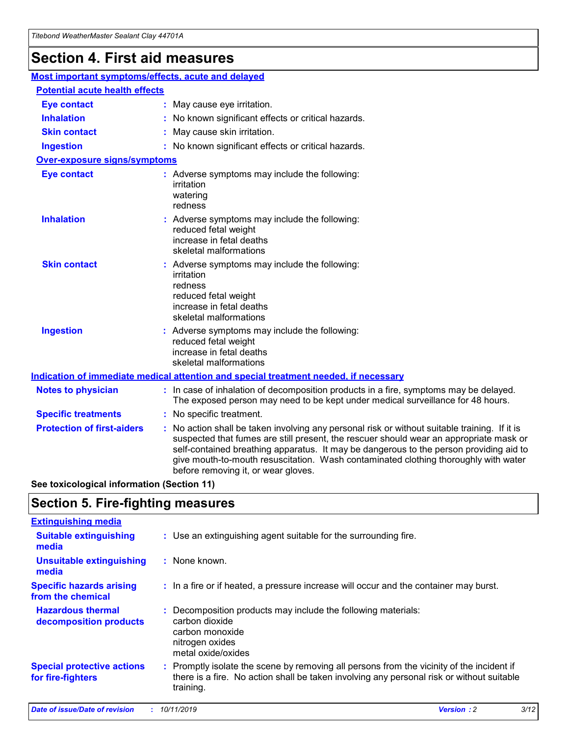### **Section 4. First aid measures**

| Most important symptoms/effects, acute and delayed |                                       |                                                                                                                                                                                                                                                                                                                                                                                                                 |  |  |  |
|----------------------------------------------------|---------------------------------------|-----------------------------------------------------------------------------------------------------------------------------------------------------------------------------------------------------------------------------------------------------------------------------------------------------------------------------------------------------------------------------------------------------------------|--|--|--|
|                                                    | <b>Potential acute health effects</b> |                                                                                                                                                                                                                                                                                                                                                                                                                 |  |  |  |
| <b>Eye contact</b>                                 |                                       | : May cause eye irritation.                                                                                                                                                                                                                                                                                                                                                                                     |  |  |  |
| <b>Inhalation</b>                                  |                                       | : No known significant effects or critical hazards.                                                                                                                                                                                                                                                                                                                                                             |  |  |  |
| <b>Skin contact</b>                                |                                       | : May cause skin irritation.                                                                                                                                                                                                                                                                                                                                                                                    |  |  |  |
| <b>Ingestion</b>                                   |                                       | : No known significant effects or critical hazards.                                                                                                                                                                                                                                                                                                                                                             |  |  |  |
| Over-exposure signs/symptoms                       |                                       |                                                                                                                                                                                                                                                                                                                                                                                                                 |  |  |  |
| <b>Eye contact</b>                                 |                                       | : Adverse symptoms may include the following:<br>irritation<br>watering<br>redness                                                                                                                                                                                                                                                                                                                              |  |  |  |
| <b>Inhalation</b>                                  |                                       | : Adverse symptoms may include the following:<br>reduced fetal weight<br>increase in fetal deaths<br>skeletal malformations                                                                                                                                                                                                                                                                                     |  |  |  |
| <b>Skin contact</b>                                |                                       | : Adverse symptoms may include the following:<br>irritation<br>redness<br>reduced fetal weight<br>increase in fetal deaths<br>skeletal malformations                                                                                                                                                                                                                                                            |  |  |  |
| <b>Ingestion</b>                                   |                                       | : Adverse symptoms may include the following:<br>reduced fetal weight<br>increase in fetal deaths<br>skeletal malformations                                                                                                                                                                                                                                                                                     |  |  |  |
|                                                    |                                       | <b>Indication of immediate medical attention and special treatment needed, if necessary</b>                                                                                                                                                                                                                                                                                                                     |  |  |  |
| <b>Notes to physician</b>                          |                                       | : In case of inhalation of decomposition products in a fire, symptoms may be delayed.<br>The exposed person may need to be kept under medical surveillance for 48 hours.                                                                                                                                                                                                                                        |  |  |  |
| <b>Specific treatments</b>                         |                                       | : No specific treatment.                                                                                                                                                                                                                                                                                                                                                                                        |  |  |  |
| <b>Protection of first-aiders</b>                  |                                       | : No action shall be taken involving any personal risk or without suitable training. If it is<br>suspected that fumes are still present, the rescuer should wear an appropriate mask or<br>self-contained breathing apparatus. It may be dangerous to the person providing aid to<br>give mouth-to-mouth resuscitation. Wash contaminated clothing thoroughly with water<br>before removing it, or wear gloves. |  |  |  |

**See toxicological information (Section 11)**

### **Section 5. Fire-fighting measures**

| <b>Extinguishing media</b>                             |                                                                                                                                                                                                     |
|--------------------------------------------------------|-----------------------------------------------------------------------------------------------------------------------------------------------------------------------------------------------------|
| <b>Suitable extinguishing</b><br>media                 | : Use an extinguishing agent suitable for the surrounding fire.                                                                                                                                     |
| <b>Unsuitable extinguishing</b><br>media               | : None known.                                                                                                                                                                                       |
| <b>Specific hazards arising</b><br>from the chemical   | : In a fire or if heated, a pressure increase will occur and the container may burst.                                                                                                               |
| <b>Hazardous thermal</b><br>decomposition products     | : Decomposition products may include the following materials:<br>carbon dioxide<br>carbon monoxide<br>nitrogen oxides<br>metal oxide/oxides                                                         |
| <b>Special protective actions</b><br>for fire-fighters | : Promptly isolate the scene by removing all persons from the vicinity of the incident if<br>there is a fire. No action shall be taken involving any personal risk or without suitable<br>training. |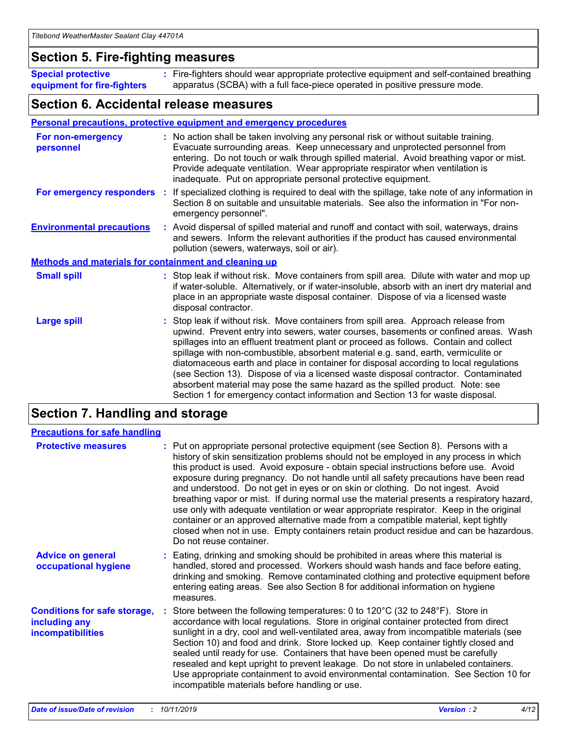### **Section 5. Fire-fighting measures**

**Special protective equipment for fire-fighters** Fire-fighters should wear appropriate protective equipment and self-contained breathing **:** apparatus (SCBA) with a full face-piece operated in positive pressure mode.

### **Section 6. Accidental release measures**

#### **Personal precautions, protective equipment and emergency procedures**

| For non-emergency<br>personnel                               | : No action shall be taken involving any personal risk or without suitable training.<br>Evacuate surrounding areas. Keep unnecessary and unprotected personnel from<br>entering. Do not touch or walk through spilled material. Avoid breathing vapor or mist.<br>Provide adequate ventilation. Wear appropriate respirator when ventilation is<br>inadequate. Put on appropriate personal protective equipment.                                                                                                                                                                                                                                                                                             |
|--------------------------------------------------------------|--------------------------------------------------------------------------------------------------------------------------------------------------------------------------------------------------------------------------------------------------------------------------------------------------------------------------------------------------------------------------------------------------------------------------------------------------------------------------------------------------------------------------------------------------------------------------------------------------------------------------------------------------------------------------------------------------------------|
| For emergency responders                                     | : If specialized clothing is required to deal with the spillage, take note of any information in<br>Section 8 on suitable and unsuitable materials. See also the information in "For non-<br>emergency personnel".                                                                                                                                                                                                                                                                                                                                                                                                                                                                                           |
| <b>Environmental precautions</b>                             | : Avoid dispersal of spilled material and runoff and contact with soil, waterways, drains<br>and sewers. Inform the relevant authorities if the product has caused environmental<br>pollution (sewers, waterways, soil or air).                                                                                                                                                                                                                                                                                                                                                                                                                                                                              |
| <b>Methods and materials for containment and cleaning up</b> |                                                                                                                                                                                                                                                                                                                                                                                                                                                                                                                                                                                                                                                                                                              |
| <b>Small spill</b>                                           | : Stop leak if without risk. Move containers from spill area. Dilute with water and mop up<br>if water-soluble. Alternatively, or if water-insoluble, absorb with an inert dry material and<br>place in an appropriate waste disposal container. Dispose of via a licensed waste<br>disposal contractor.                                                                                                                                                                                                                                                                                                                                                                                                     |
| <b>Large spill</b>                                           | : Stop leak if without risk. Move containers from spill area. Approach release from<br>upwind. Prevent entry into sewers, water courses, basements or confined areas. Wash<br>spillages into an effluent treatment plant or proceed as follows. Contain and collect<br>spillage with non-combustible, absorbent material e.g. sand, earth, vermiculite or<br>diatomaceous earth and place in container for disposal according to local regulations<br>(see Section 13). Dispose of via a licensed waste disposal contractor. Contaminated<br>absorbent material may pose the same hazard as the spilled product. Note: see<br>Section 1 for emergency contact information and Section 13 for waste disposal. |

### **Section 7. Handling and storage**

| <b>Precautions for safe handling</b>                                             |                                                                                                                                                                                                                                                                                                                                                                                                                                                                                                                                                                                                                                                                                                                                                                                                                                                  |
|----------------------------------------------------------------------------------|--------------------------------------------------------------------------------------------------------------------------------------------------------------------------------------------------------------------------------------------------------------------------------------------------------------------------------------------------------------------------------------------------------------------------------------------------------------------------------------------------------------------------------------------------------------------------------------------------------------------------------------------------------------------------------------------------------------------------------------------------------------------------------------------------------------------------------------------------|
| <b>Protective measures</b>                                                       | : Put on appropriate personal protective equipment (see Section 8). Persons with a<br>history of skin sensitization problems should not be employed in any process in which<br>this product is used. Avoid exposure - obtain special instructions before use. Avoid<br>exposure during pregnancy. Do not handle until all safety precautions have been read<br>and understood. Do not get in eyes or on skin or clothing. Do not ingest. Avoid<br>breathing vapor or mist. If during normal use the material presents a respiratory hazard,<br>use only with adequate ventilation or wear appropriate respirator. Keep in the original<br>container or an approved alternative made from a compatible material, kept tightly<br>closed when not in use. Empty containers retain product residue and can be hazardous.<br>Do not reuse container. |
| <b>Advice on general</b><br>occupational hygiene                                 | : Eating, drinking and smoking should be prohibited in areas where this material is<br>handled, stored and processed. Workers should wash hands and face before eating,<br>drinking and smoking. Remove contaminated clothing and protective equipment before<br>entering eating areas. See also Section 8 for additional information on hygiene<br>measures.                                                                                                                                                                                                                                                                                                                                                                                                                                                                                    |
| <b>Conditions for safe storage,</b><br>including any<br><b>incompatibilities</b> | Store between the following temperatures: 0 to 120°C (32 to 248°F). Store in<br>accordance with local regulations. Store in original container protected from direct<br>sunlight in a dry, cool and well-ventilated area, away from incompatible materials (see<br>Section 10) and food and drink. Store locked up. Keep container tightly closed and<br>sealed until ready for use. Containers that have been opened must be carefully<br>resealed and kept upright to prevent leakage. Do not store in unlabeled containers.<br>Use appropriate containment to avoid environmental contamination. See Section 10 for<br>incompatible materials before handling or use.                                                                                                                                                                         |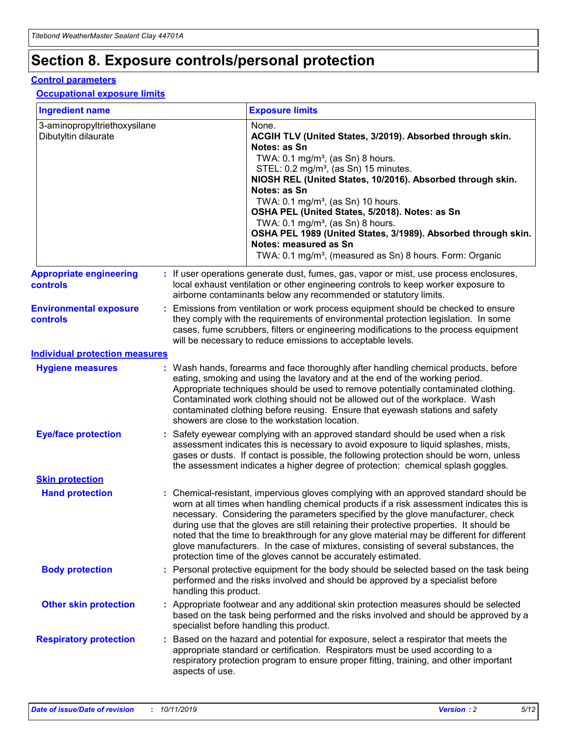## **Section 8. Exposure controls/personal protection**

#### **Control parameters**

#### **Occupational exposure limits**

| <b>Ingredient name</b>                               |    |                        | <b>Exposure limits</b>                                                                                                                                                                                                                                                                                                                                                                                                                                                                                                                                                                                                 |
|------------------------------------------------------|----|------------------------|------------------------------------------------------------------------------------------------------------------------------------------------------------------------------------------------------------------------------------------------------------------------------------------------------------------------------------------------------------------------------------------------------------------------------------------------------------------------------------------------------------------------------------------------------------------------------------------------------------------------|
| 3-aminopropyltriethoxysilane<br>Dibutyltin dilaurate |    |                        | None.<br>ACGIH TLV (United States, 3/2019). Absorbed through skin.<br>Notes: as Sn<br>TWA: $0.1 \text{ mg/m}^3$ , (as Sn) 8 hours.<br>STEL: 0.2 mg/m <sup>3</sup> , (as Sn) 15 minutes.<br>NIOSH REL (United States, 10/2016). Absorbed through skin.<br>Notes: as Sn<br>TWA: 0.1 mg/m <sup>3</sup> , (as Sn) 10 hours.<br>OSHA PEL (United States, 5/2018). Notes: as Sn<br>TWA: 0.1 mg/m <sup>3</sup> , (as Sn) 8 hours.<br>OSHA PEL 1989 (United States, 3/1989). Absorbed through skin.<br>Notes: measured as Sn<br>TWA: 0.1 mg/m <sup>3</sup> , (measured as Sn) 8 hours. Form: Organic                           |
| <b>Appropriate engineering</b><br>controls           |    |                        | : If user operations generate dust, fumes, gas, vapor or mist, use process enclosures,<br>local exhaust ventilation or other engineering controls to keep worker exposure to<br>airborne contaminants below any recommended or statutory limits.                                                                                                                                                                                                                                                                                                                                                                       |
| <b>Environmental exposure</b><br>controls            |    |                        | Emissions from ventilation or work process equipment should be checked to ensure<br>they comply with the requirements of environmental protection legislation. In some<br>cases, fume scrubbers, filters or engineering modifications to the process equipment<br>will be necessary to reduce emissions to acceptable levels.                                                                                                                                                                                                                                                                                          |
| <b>Individual protection measures</b>                |    |                        |                                                                                                                                                                                                                                                                                                                                                                                                                                                                                                                                                                                                                        |
| <b>Hygiene measures</b>                              |    |                        | : Wash hands, forearms and face thoroughly after handling chemical products, before<br>eating, smoking and using the lavatory and at the end of the working period.<br>Appropriate techniques should be used to remove potentially contaminated clothing.<br>Contaminated work clothing should not be allowed out of the workplace. Wash<br>contaminated clothing before reusing. Ensure that eyewash stations and safety<br>showers are close to the workstation location.                                                                                                                                            |
| <b>Eye/face protection</b>                           |    |                        | Safety eyewear complying with an approved standard should be used when a risk<br>assessment indicates this is necessary to avoid exposure to liquid splashes, mists,<br>gases or dusts. If contact is possible, the following protection should be worn, unless<br>the assessment indicates a higher degree of protection: chemical splash goggles.                                                                                                                                                                                                                                                                    |
| <b>Skin protection</b>                               |    |                        |                                                                                                                                                                                                                                                                                                                                                                                                                                                                                                                                                                                                                        |
| <b>Hand protection</b>                               |    |                        | : Chemical-resistant, impervious gloves complying with an approved standard should be<br>worn at all times when handling chemical products if a risk assessment indicates this is<br>necessary. Considering the parameters specified by the glove manufacturer, check<br>during use that the gloves are still retaining their protective properties. It should be<br>noted that the time to breakthrough for any glove material may be different for different<br>glove manufacturers. In the case of mixtures, consisting of several substances, the<br>protection time of the gloves cannot be accurately estimated. |
| <b>Body protection</b>                               |    | handling this product. | Personal protective equipment for the body should be selected based on the task being<br>performed and the risks involved and should be approved by a specialist before                                                                                                                                                                                                                                                                                                                                                                                                                                                |
| <b>Other skin protection</b>                         |    |                        | : Appropriate footwear and any additional skin protection measures should be selected<br>based on the task being performed and the risks involved and should be approved by a<br>specialist before handling this product.                                                                                                                                                                                                                                                                                                                                                                                              |
| <b>Respiratory protection</b>                        | ÷. | aspects of use.        | Based on the hazard and potential for exposure, select a respirator that meets the<br>appropriate standard or certification. Respirators must be used according to a<br>respiratory protection program to ensure proper fitting, training, and other important                                                                                                                                                                                                                                                                                                                                                         |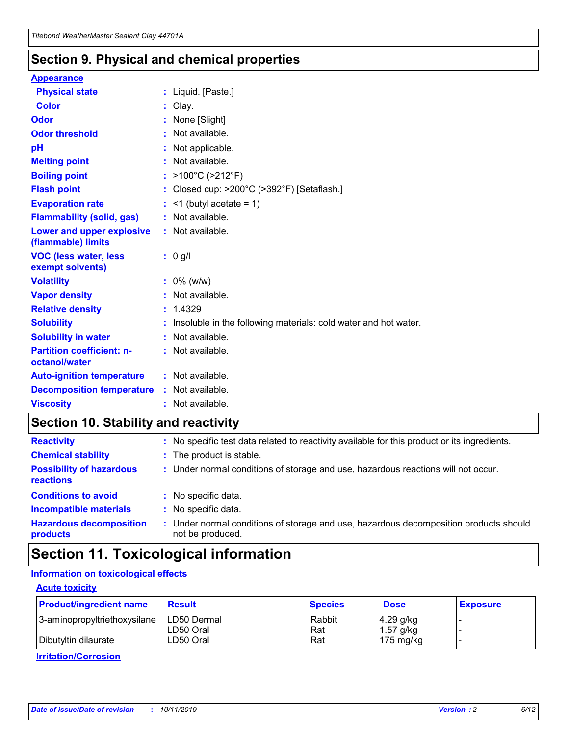### **Section 9. Physical and chemical properties**

#### **Appearance**

| <b>Physical state</b>                             | : Liquid. [Paste.]                                              |
|---------------------------------------------------|-----------------------------------------------------------------|
| <b>Color</b>                                      | Clay.                                                           |
| Odor                                              | None [Slight]                                                   |
| <b>Odor threshold</b>                             | $:$ Not available.                                              |
| рH                                                | : Not applicable.                                               |
| <b>Melting point</b>                              | : Not available.                                                |
| <b>Boiling point</b>                              | : >100°C (>212°F)                                               |
| <b>Flash point</b>                                | : Closed cup: >200°C (>392°F) [Setaflash.]                      |
| <b>Evaporation rate</b>                           | $:$ <1 (butyl acetate = 1)                                      |
| <b>Flammability (solid, gas)</b>                  | : Not available.                                                |
| Lower and upper explosive<br>(flammable) limits   | : Not available.                                                |
| <b>VOC (less water, less</b><br>exempt solvents)  | $: 0$ g/l                                                       |
| <b>Volatility</b>                                 | $: 0\%$ (w/w)                                                   |
| <b>Vapor density</b>                              | : Not available.                                                |
| <b>Relative density</b>                           | : 1.4329                                                        |
| <b>Solubility</b>                                 | Insoluble in the following materials: cold water and hot water. |
| <b>Solubility in water</b>                        | : Not available.                                                |
| <b>Partition coefficient: n-</b><br>octanol/water | $:$ Not available.                                              |
| <b>Auto-ignition temperature</b>                  | : Not available.                                                |
| <b>Decomposition temperature</b>                  | : Not available.                                                |
| <b>Viscosity</b>                                  | : Not available.                                                |

### **Section 10. Stability and reactivity**

| <b>Reactivity</b>                            |    | : No specific test data related to reactivity available for this product or its ingredients.            |
|----------------------------------------------|----|---------------------------------------------------------------------------------------------------------|
| <b>Chemical stability</b>                    |    | : The product is stable.                                                                                |
| <b>Possibility of hazardous</b><br>reactions |    | : Under normal conditions of storage and use, hazardous reactions will not occur.                       |
| <b>Conditions to avoid</b>                   |    | : No specific data.                                                                                     |
| <b>Incompatible materials</b>                | ٠. | No specific data.                                                                                       |
| <b>Hazardous decomposition</b><br>products   | ÷. | Under normal conditions of storage and use, hazardous decomposition products should<br>not be produced. |

### **Section 11. Toxicological information**

### **Information on toxicological effects**

#### **Acute toxicity**

| <b>Product/ingredient name</b> | <b>Result</b>           | <b>Species</b> | <b>Dose</b>                | <b>Exposure</b> |
|--------------------------------|-------------------------|----------------|----------------------------|-----------------|
| 3-aminopropyltriethoxysilane   | <b>ILD50 Dermal</b>     | Rabbit         | 4.29 g/kg                  |                 |
| Dibutyltin dilaurate           | ILD50 Oral<br>LD50 Oral | Rat<br>Rat     | $1.57$ g/kg<br>175 $mg/kg$ |                 |
|                                |                         |                |                            |                 |

**Irritation/Corrosion**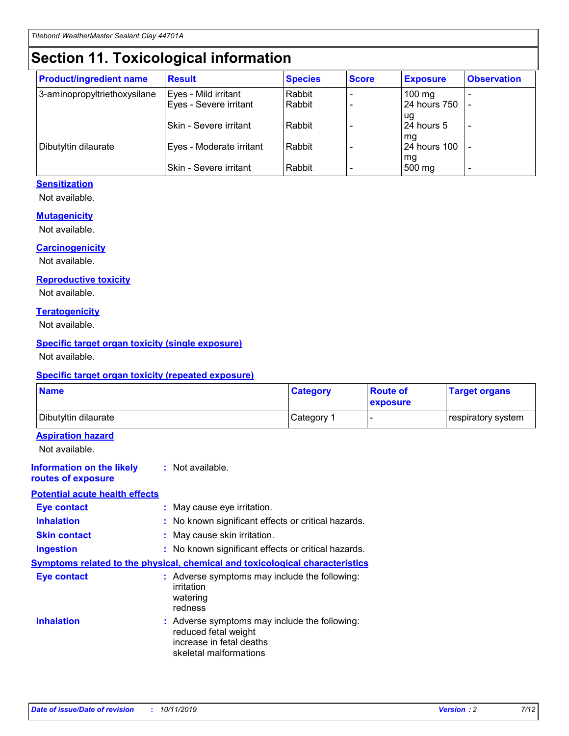## **Section 11. Toxicological information**

| <b>Product/ingredient name</b> | <b>Result</b>            | <b>Species</b> | <b>Score</b> | <b>Exposure</b>    | <b>Observation</b> |
|--------------------------------|--------------------------|----------------|--------------|--------------------|--------------------|
| 3-aminopropyltriethoxysilane   | Eyes - Mild irritant     | Rabbit         |              | $100$ mg           |                    |
|                                | Eyes - Severe irritant   | Rabbit         |              | 24 hours 750       |                    |
|                                |                          |                |              | ug                 |                    |
|                                | Skin - Severe irritant   | Rabbit         |              | 24 hours 5         | -                  |
| Dibutyltin dilaurate           | Eyes - Moderate irritant | Rabbit         |              | mg<br>24 hours 100 |                    |
|                                |                          |                |              | mg                 |                    |
|                                | Skin - Severe irritant   | Rabbit         |              | 500 mg             | -                  |

#### **Sensitization**

Not available.

#### **Mutagenicity**

Not available.

#### **Carcinogenicity**

Not available.

#### **Reproductive toxicity**

Not available.

#### **Teratogenicity**

Not available.

#### **Specific target organ toxicity (single exposure)**

Not available.

#### **Specific target organ toxicity (repeated exposure)**

| <b>Name</b>                                                                         |                                                                            | <b>Category</b>                                     | <b>Route of</b><br>exposure | <b>Target organs</b> |
|-------------------------------------------------------------------------------------|----------------------------------------------------------------------------|-----------------------------------------------------|-----------------------------|----------------------|
| Dibutyltin dilaurate                                                                |                                                                            | Category 1                                          | -                           | respiratory system   |
| <b>Aspiration hazard</b><br>Not available.                                          |                                                                            |                                                     |                             |                      |
| <b>Information on the likely</b><br>routes of exposure                              | : Not available.                                                           |                                                     |                             |                      |
| <b>Potential acute health effects</b>                                               |                                                                            |                                                     |                             |                      |
| <b>Eye contact</b>                                                                  | : May cause eye irritation.                                                |                                                     |                             |                      |
| <b>Inhalation</b>                                                                   |                                                                            | : No known significant effects or critical hazards. |                             |                      |
| <b>Skin contact</b>                                                                 | : May cause skin irritation.                                               |                                                     |                             |                      |
| <b>Ingestion</b>                                                                    |                                                                            | : No known significant effects or critical hazards. |                             |                      |
| <b>Symptoms related to the physical, chemical and toxicological characteristics</b> |                                                                            |                                                     |                             |                      |
| <b>Eye contact</b>                                                                  | irritation<br>watering<br>redness                                          | : Adverse symptoms may include the following:       |                             |                      |
| <b>Inhalation</b>                                                                   | reduced fetal weight<br>increase in fetal deaths<br>skeletal malformations | : Adverse symptoms may include the following:       |                             |                      |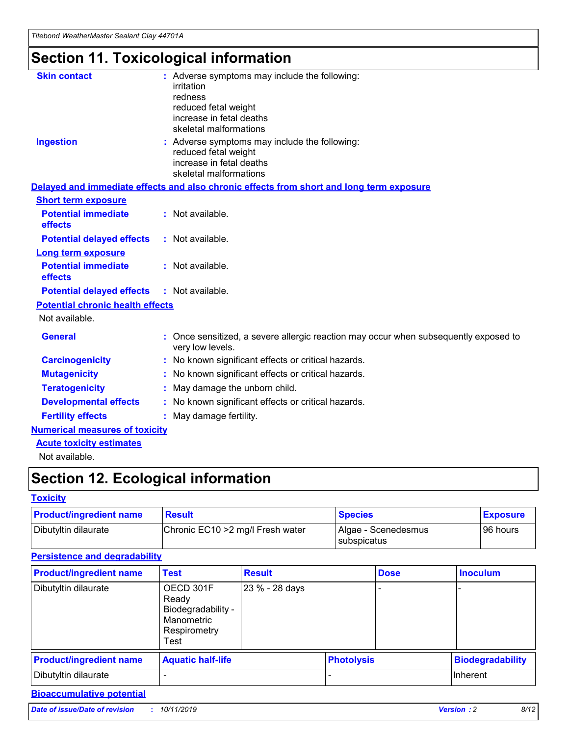## **Section 11. Toxicological information**

| <b>Skin contact</b>                     |                                                                                                          |
|-----------------------------------------|----------------------------------------------------------------------------------------------------------|
|                                         | : Adverse symptoms may include the following:<br>irritation                                              |
|                                         | redness                                                                                                  |
|                                         | reduced fetal weight                                                                                     |
|                                         | increase in fetal deaths                                                                                 |
|                                         | skeletal malformations                                                                                   |
| <b>Ingestion</b>                        | : Adverse symptoms may include the following:                                                            |
|                                         | reduced fetal weight                                                                                     |
|                                         | increase in fetal deaths                                                                                 |
|                                         | skeletal malformations                                                                                   |
|                                         | Delayed and immediate effects and also chronic effects from short and long term exposure                 |
| <b>Short term exposure</b>              |                                                                                                          |
| <b>Potential immediate</b>              | : Not available.                                                                                         |
| effects                                 |                                                                                                          |
| <b>Potential delayed effects</b>        | : Not available.                                                                                         |
| <b>Long term exposure</b>               |                                                                                                          |
| <b>Potential immediate</b>              | : Not available.                                                                                         |
| effects                                 |                                                                                                          |
| <b>Potential delayed effects</b>        | : Not available.                                                                                         |
| <b>Potential chronic health effects</b> |                                                                                                          |
| Not available.                          |                                                                                                          |
| <b>General</b>                          | : Once sensitized, a severe allergic reaction may occur when subsequently exposed to<br>very low levels. |
| <b>Carcinogenicity</b>                  | : No known significant effects or critical hazards.                                                      |
| <b>Mutagenicity</b>                     | No known significant effects or critical hazards.                                                        |
| <b>Teratogenicity</b>                   | May damage the unborn child.                                                                             |
| <b>Developmental effects</b>            | No known significant effects or critical hazards.                                                        |
| <b>Fertility effects</b>                | : May damage fertility.                                                                                  |
| <b>Numerical measures of toxicity</b>   |                                                                                                          |
| <b>Acute toxicity estimates</b>         |                                                                                                          |
|                                         |                                                                                                          |

Not available.

## **Section 12. Ecological information**

#### **Toxicity**

| <b>Product/ingredient name</b> | <b>Result</b>                     | <b>Species</b>                       | <b>Exposure</b> |
|--------------------------------|-----------------------------------|--------------------------------------|-----------------|
| Dibutyltin dilaurate           | Chronic EC10 > 2 mg/l Fresh water | Algae - Scenedesmus<br>I subspicatus | l 96 hours i    |

### **Persistence and degradability**

| <b>Product/ingredient name</b> | <b>Test</b>                                                                    | <b>Result</b>  |                   | <b>Dose</b> | <b>Inoculum</b>         |
|--------------------------------|--------------------------------------------------------------------------------|----------------|-------------------|-------------|-------------------------|
| Dibutyltin dilaurate           | OECD 301F<br>Ready<br>Biodegradability -<br>Manometric<br>Respirometry<br>Test | 23 % - 28 days |                   |             |                         |
| <b>Product/ingredient name</b> | <b>Aquatic half-life</b>                                                       |                | <b>Photolysis</b> |             | <b>Biodegradability</b> |
| Dibutyltin dilaurate           |                                                                                |                |                   |             | Inherent                |

### **Bioaccumulative potential**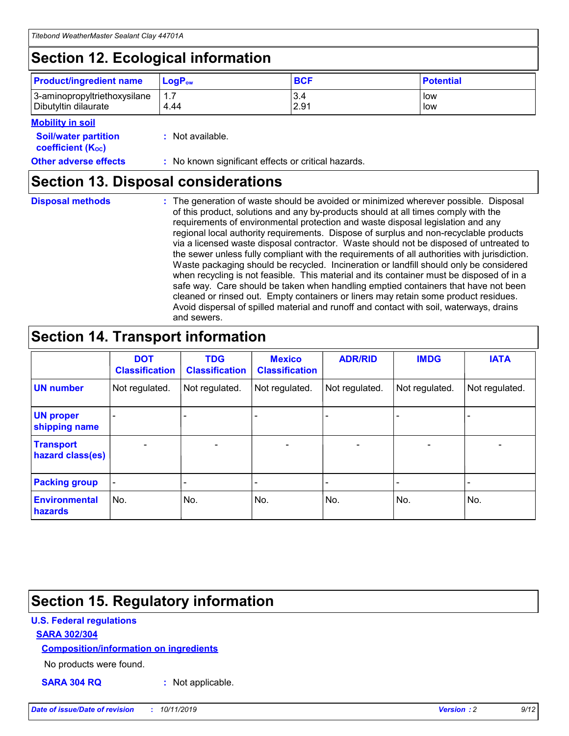## **Section 12. Ecological information**

| <b>Product/ingredient name</b>                       | ∣LoqP <sub>ow</sub> | <b>BCF</b>  | <b>Potential</b> |
|------------------------------------------------------|---------------------|-------------|------------------|
| 3-aminopropyltriethoxysilane<br>Dibutyltin dilaurate | 4.44                | 3.4<br>2.91 | low<br>low       |

#### **Mobility in soil**

| <i></i>                                                       |                                                     |
|---------------------------------------------------------------|-----------------------------------------------------|
| <b>Soil/water partition</b><br>coefficient (K <sub>oc</sub> ) | : Not available.                                    |
| <b>Other adverse effects</b>                                  | : No known significant effects or critical hazards. |

### **Section 13. Disposal considerations**

**Disposal methods :**

The generation of waste should be avoided or minimized wherever possible. Disposal of this product, solutions and any by-products should at all times comply with the requirements of environmental protection and waste disposal legislation and any regional local authority requirements. Dispose of surplus and non-recyclable products via a licensed waste disposal contractor. Waste should not be disposed of untreated to the sewer unless fully compliant with the requirements of all authorities with jurisdiction. Waste packaging should be recycled. Incineration or landfill should only be considered when recycling is not feasible. This material and its container must be disposed of in a safe way. Care should be taken when handling emptied containers that have not been cleaned or rinsed out. Empty containers or liners may retain some product residues. Avoid dispersal of spilled material and runoff and contact with soil, waterways, drains and sewers.

## **Section 14. Transport information**

|                                      | <b>DOT</b><br><b>Classification</b> | <b>TDG</b><br><b>Classification</b> | <b>Mexico</b><br><b>Classification</b> | <b>ADR/RID</b>           | <b>IMDG</b>              | <b>IATA</b>              |
|--------------------------------------|-------------------------------------|-------------------------------------|----------------------------------------|--------------------------|--------------------------|--------------------------|
| <b>UN number</b>                     | Not regulated.                      | Not regulated.                      | Not regulated.                         | Not regulated.           | Not regulated.           | Not regulated.           |
| <b>UN proper</b><br>shipping name    | $\qquad \qquad \blacksquare$        |                                     |                                        |                          |                          |                          |
| <b>Transport</b><br>hazard class(es) | $\blacksquare$                      | $\blacksquare$                      | $\blacksquare$                         | $\overline{\phantom{a}}$ | $\blacksquare$           | $\blacksquare$           |
| <b>Packing group</b>                 | $\overline{\phantom{a}}$            | $\overline{\phantom{0}}$            | $\overline{\phantom{0}}$               | -                        | $\overline{\phantom{0}}$ | $\overline{\phantom{a}}$ |
| <b>Environmental</b><br>hazards      | No.                                 | No.                                 | No.                                    | No.                      | No.                      | No.                      |

## **Section 15. Regulatory information**

#### **U.S. Federal regulations**

#### **SARA 302/304**

#### **Composition/information on ingredients**

No products were found.

**SARA 304 RQ :** Not applicable.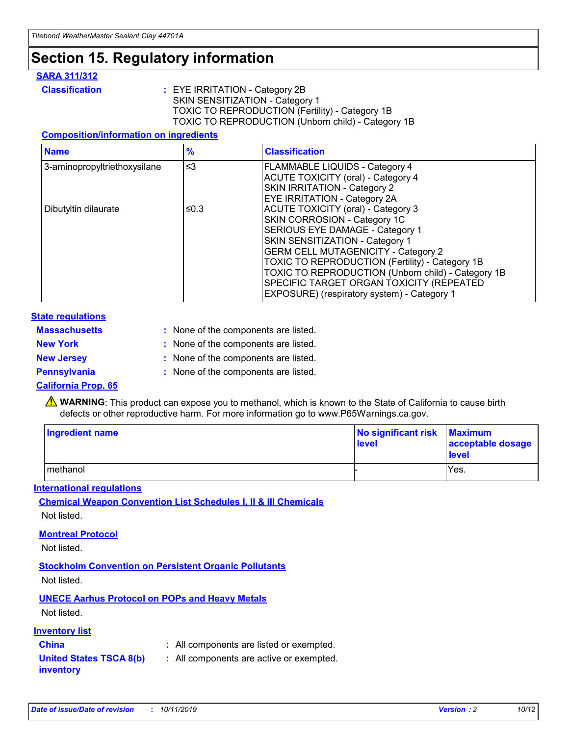## **Section 15. Regulatory information**

#### **SARA 311/312**

**Classification :** EYE IRRITATION - Category 2B SKIN SENSITIZATION - Category 1 TOXIC TO REPRODUCTION (Fertility) - Category 1B TOXIC TO REPRODUCTION (Unborn child) - Category 1B

#### **Composition/information on ingredients**

| <b>Name</b>                  | $\frac{9}{6}$ | <b>Classification</b>                                                                                            |
|------------------------------|---------------|------------------------------------------------------------------------------------------------------------------|
| 3-aminopropyltriethoxysilane | $\leq$ 3      | <b>FLAMMABLE LIQUIDS - Category 4</b><br><b>ACUTE TOXICITY (oral) - Category 4</b>                               |
|                              |               | SKIN IRRITATION - Category 2<br>EYE IRRITATION - Category 2A                                                     |
| Dibutyltin dilaurate         | ≤0.3          | ACUTE TOXICITY (oral) - Category 3<br>SKIN CORROSION - Category 1C                                               |
|                              |               | SERIOUS EYE DAMAGE - Category 1<br>SKIN SENSITIZATION - Category 1<br><b>GERM CELL MUTAGENICITY - Category 2</b> |
|                              |               | TOXIC TO REPRODUCTION (Fertility) - Category 1B<br>TOXIC TO REPRODUCTION (Unborn child) - Category 1B            |
|                              |               | SPECIFIC TARGET ORGAN TOXICITY (REPEATED<br>EXPOSURE) (respiratory system) - Category 1                          |

#### **State regulations**

| <b>Massachusetts</b> | : None of the components are listed. |
|----------------------|--------------------------------------|
| <b>New York</b>      | : None of the components are listed. |
| <b>New Jersey</b>    | : None of the components are listed. |
| <b>Pennsylvania</b>  | : None of the components are listed. |

#### **California Prop. 65**

**A** WARNING: This product can expose you to methanol, which is known to the State of California to cause birth defects or other reproductive harm. For more information go to www.P65Warnings.ca.gov.

| <b>Ingredient name</b> | No significant risk Maximum<br>level | acceptable dosage<br>level |
|------------------------|--------------------------------------|----------------------------|
| methanol               |                                      | Yes.                       |

#### **International regulations**

**Chemical Weapon Convention List Schedules I, II & III Chemicals** Not listed.

#### **Montreal Protocol**

Not listed.

**Stockholm Convention on Persistent Organic Pollutants**

Not listed.

### **UNECE Aarhus Protocol on POPs and Heavy Metals**

Not listed.

#### **Inventory list**

### **China :** All components are listed or exempted.

**United States TSCA 8(b) inventory :** All components are active or exempted.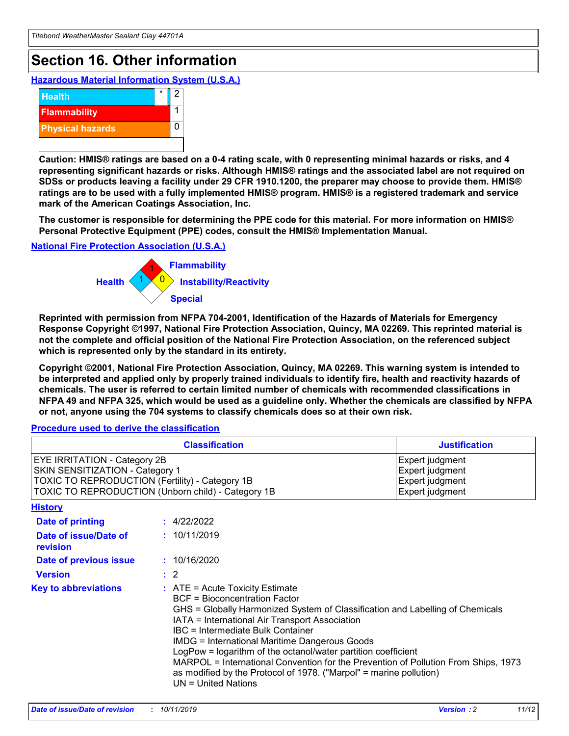## **Section 16. Other information**

**Hazardous Material Information System (U.S.A.)**



**Caution: HMIS® ratings are based on a 0-4 rating scale, with 0 representing minimal hazards or risks, and 4 representing significant hazards or risks. Although HMIS® ratings and the associated label are not required on SDSs or products leaving a facility under 29 CFR 1910.1200, the preparer may choose to provide them. HMIS® ratings are to be used with a fully implemented HMIS® program. HMIS® is a registered trademark and service mark of the American Coatings Association, Inc.**

**The customer is responsible for determining the PPE code for this material. For more information on HMIS® Personal Protective Equipment (PPE) codes, consult the HMIS® Implementation Manual.**

#### **National Fire Protection Association (U.S.A.)**



**Reprinted with permission from NFPA 704-2001, Identification of the Hazards of Materials for Emergency Response Copyright ©1997, National Fire Protection Association, Quincy, MA 02269. This reprinted material is not the complete and official position of the National Fire Protection Association, on the referenced subject which is represented only by the standard in its entirety.**

**Copyright ©2001, National Fire Protection Association, Quincy, MA 02269. This warning system is intended to be interpreted and applied only by properly trained individuals to identify fire, health and reactivity hazards of chemicals. The user is referred to certain limited number of chemicals with recommended classifications in NFPA 49 and NFPA 325, which would be used as a guideline only. Whether the chemicals are classified by NFPA or not, anyone using the 704 systems to classify chemicals does so at their own risk.**

#### **Procedure used to derive the classification**

| <b>Classification</b>                                                                                                                                                    |                                                                                                                                                                                                                                                                                                                                                                                                                                                                                                                                                               | <b>Justification</b>                                                     |
|--------------------------------------------------------------------------------------------------------------------------------------------------------------------------|---------------------------------------------------------------------------------------------------------------------------------------------------------------------------------------------------------------------------------------------------------------------------------------------------------------------------------------------------------------------------------------------------------------------------------------------------------------------------------------------------------------------------------------------------------------|--------------------------------------------------------------------------|
| EYE IRRITATION - Category 2B<br>SKIN SENSITIZATION - Category 1<br>TOXIC TO REPRODUCTION (Fertility) - Category 1B<br>TOXIC TO REPRODUCTION (Unborn child) - Category 1B |                                                                                                                                                                                                                                                                                                                                                                                                                                                                                                                                                               | Expert judgment<br>Expert judgment<br>Expert judgment<br>Expert judgment |
| <b>History</b>                                                                                                                                                           |                                                                                                                                                                                                                                                                                                                                                                                                                                                                                                                                                               |                                                                          |
| <b>Date of printing</b>                                                                                                                                                  | : 4/22/2022                                                                                                                                                                                                                                                                                                                                                                                                                                                                                                                                                   |                                                                          |
| Date of issue/Date of<br>revision                                                                                                                                        | : 10/11/2019                                                                                                                                                                                                                                                                                                                                                                                                                                                                                                                                                  |                                                                          |
| Date of previous issue                                                                                                                                                   | : 10/16/2020                                                                                                                                                                                                                                                                                                                                                                                                                                                                                                                                                  |                                                                          |
| <b>Version</b>                                                                                                                                                           | $\therefore$ 2                                                                                                                                                                                                                                                                                                                                                                                                                                                                                                                                                |                                                                          |
| <b>Key to abbreviations</b>                                                                                                                                              | $:$ ATE = Acute Toxicity Estimate<br><b>BCF</b> = Bioconcentration Factor<br>GHS = Globally Harmonized System of Classification and Labelling of Chemicals<br>IATA = International Air Transport Association<br>IBC = Intermediate Bulk Container<br><b>IMDG = International Maritime Dangerous Goods</b><br>LogPow = logarithm of the octanol/water partition coefficient<br>MARPOL = International Convention for the Prevention of Pollution From Ships, 1973<br>as modified by the Protocol of 1978. ("Marpol" = marine pollution)<br>UN = United Nations |                                                                          |